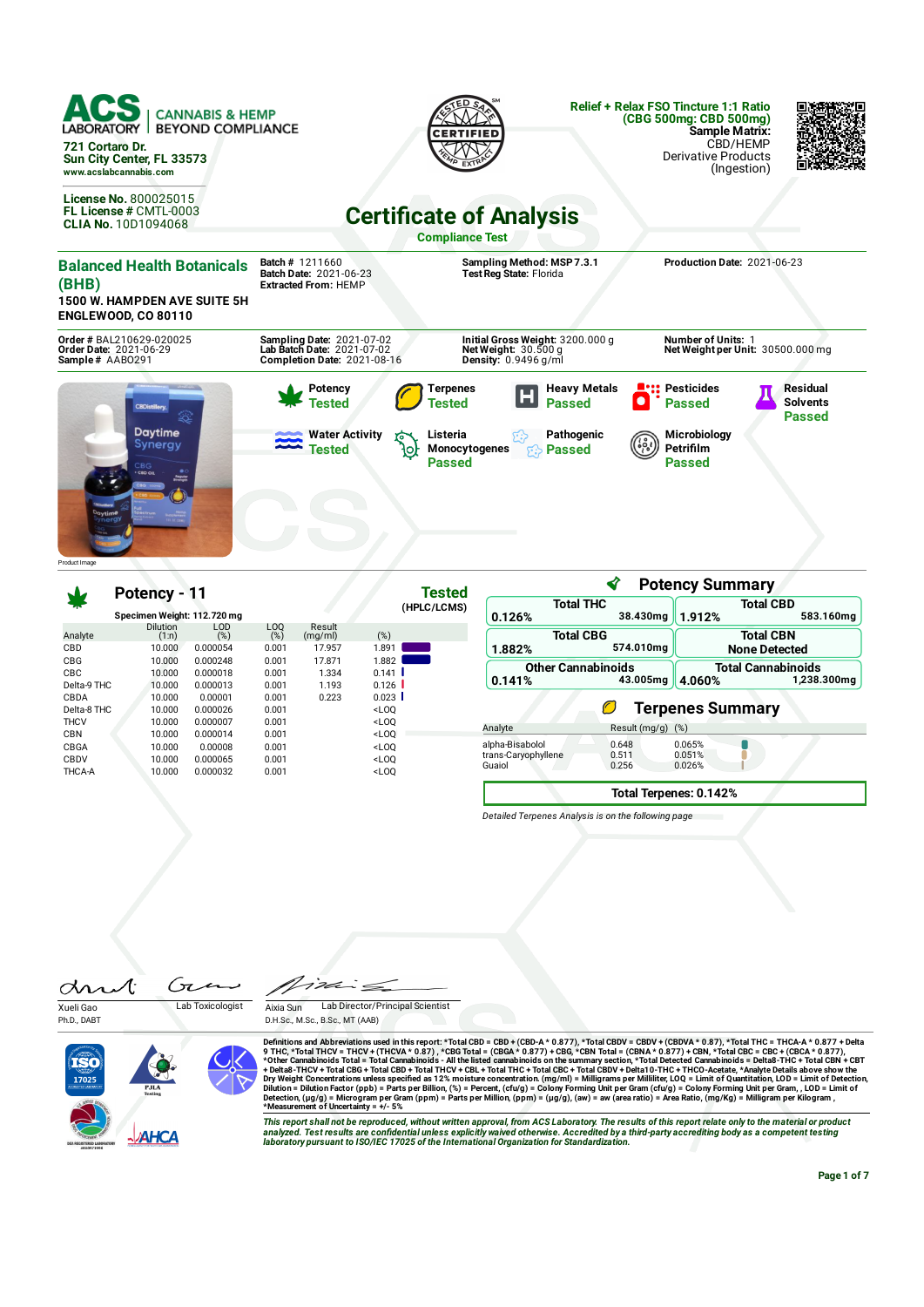

#### **Potency - 11 Specimen Weight: 112.720 mg Tested (HPLC/LCMS)** Analyte<br>CBD Dilution (1:n) LOD (%) LOQ (%) Result (mg/ml) (%) CBD 10.000 0.000054 0.001 17.957 1.891 CBG 10.000 0.000248 0.001 17.871 1.882 CBC 10.000 0.000018 0.001 1.334 0.141 Delta-9 THC 10.000 0.000013 0.001 1.193 0.126 CBDA 10.000 0.00001 0.001 0.223 0.023 Delta-8 THC 10.000 0.000026 0.001 <LOQ THCV 10.000 0.000007 0.001 <LOQ CBN 10.000 0.000014 0.001 <LOQ CBGA 10.000 0.00008 0.001 <LOQ CBDV 10.000 0.000065 0.001 <LOQ THCA-A 10.000 0.000032 0.001 <LOQ

|                                                  | ∢                       | <b>Potency Summary</b>                             |                                          |  |  |
|--------------------------------------------------|-------------------------|----------------------------------------------------|------------------------------------------|--|--|
| <b>Total THC</b>                                 |                         | <b>Total CBD</b>                                   |                                          |  |  |
| 0.126%                                           | 38.430mg                | 1.912%                                             | 583.160mg                                |  |  |
| <b>Total CBG</b><br>1.882%                       | 574.010mg               |                                                    | <b>Total CBN</b><br><b>None Detected</b> |  |  |
| <b>Other Cannabinoids</b><br>0.141%              | 43.005mg                | <b>Total Cannabinoids</b><br>1,238.300mg<br>4.060% |                                          |  |  |
|                                                  | Ø                       | <b>Terpenes Summary</b>                            |                                          |  |  |
| Analyte                                          | Result (mg/g)           | (%)                                                |                                          |  |  |
| alpha-Bisabolol<br>trans-Caryophyllene<br>Guaiol | 0.648<br>0.511<br>0.256 | 0.065%<br>0.051%<br>0.026%                         |                                          |  |  |
|                                                  |                         | Total Terpenes: 0.142%                             |                                          |  |  |

*Detailed Terpenes Analysis is on the following page*

 $\sqrt{7}$  $\alpha$ Xueli Gao Lab Toxicologist

Ph.D., DABT





Definitions and Abbreviations used in this report: \*Total CBD = CBD + (CBD-A \* 0.877), \*Total CBDV = CBDV + (CBDVA\* 0.87), \*Total THC = THCA-A \* 0.877) + Total THC = THCA-A \* 0.877 + Delta<br>9 THC, \*Total THC = THCA-A \* 0.8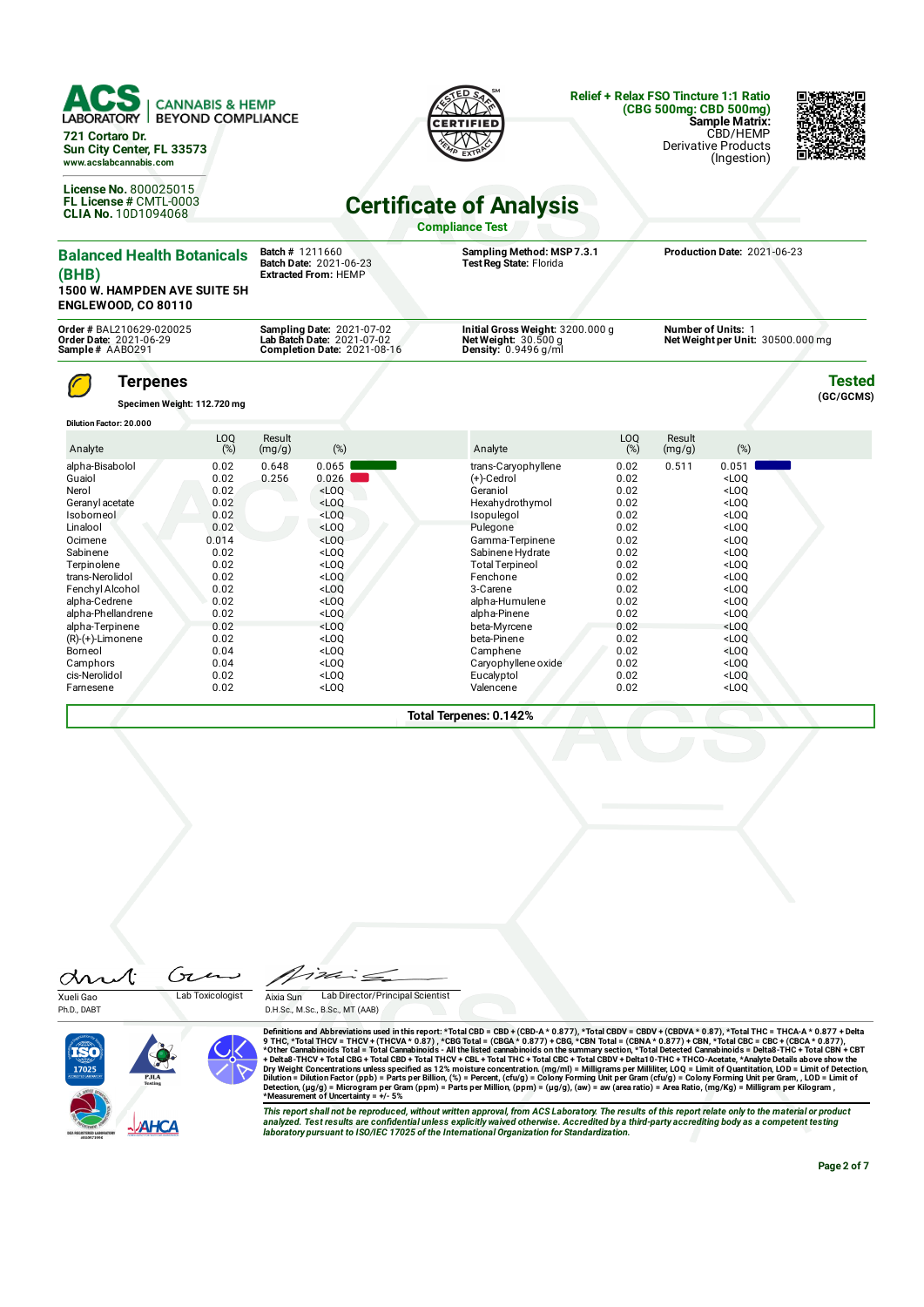

alpha-Terpinene 0.02 <LOQ beta-Myrcene 0.02 <LOQ

Borneol 0.04 <LOQ Camphene 0.02 <LOQ Camphors 0.04 <LOQ Caryophyllene oxide 0.02 <LOQ cis-Nerolidol 0.02 <LOQ Caryophyllene oxide 0.02 <LOQ cis-Nerolidol 0.02 <LOQ Eucalyptol 0.02 <LOQ Farnesene 0.02 <LOQ Valencene 0.02 <LOQ

**Total Terpenes: 0.142%**

D.H.Sc., M.Sc., B.Sc., MT (AAB)

I'VE

Aixia Sun Lab Director/Principal Scientist



 $(R)-(+)$ -Limonene

Ph.D., DABT



Definitions and Abbreviations used in this report: \*Total CBD = CBD-A (CBD-A \* 0.877), \*Total CBDV + CBDVA \* 0.87), \*Total THC = THCA-A \* 0.877<br>9 THC, \*Total THCV = THCA-A \* 0.877, \*CBG Total = (CBGA \* 0.877),\*Total CGBDV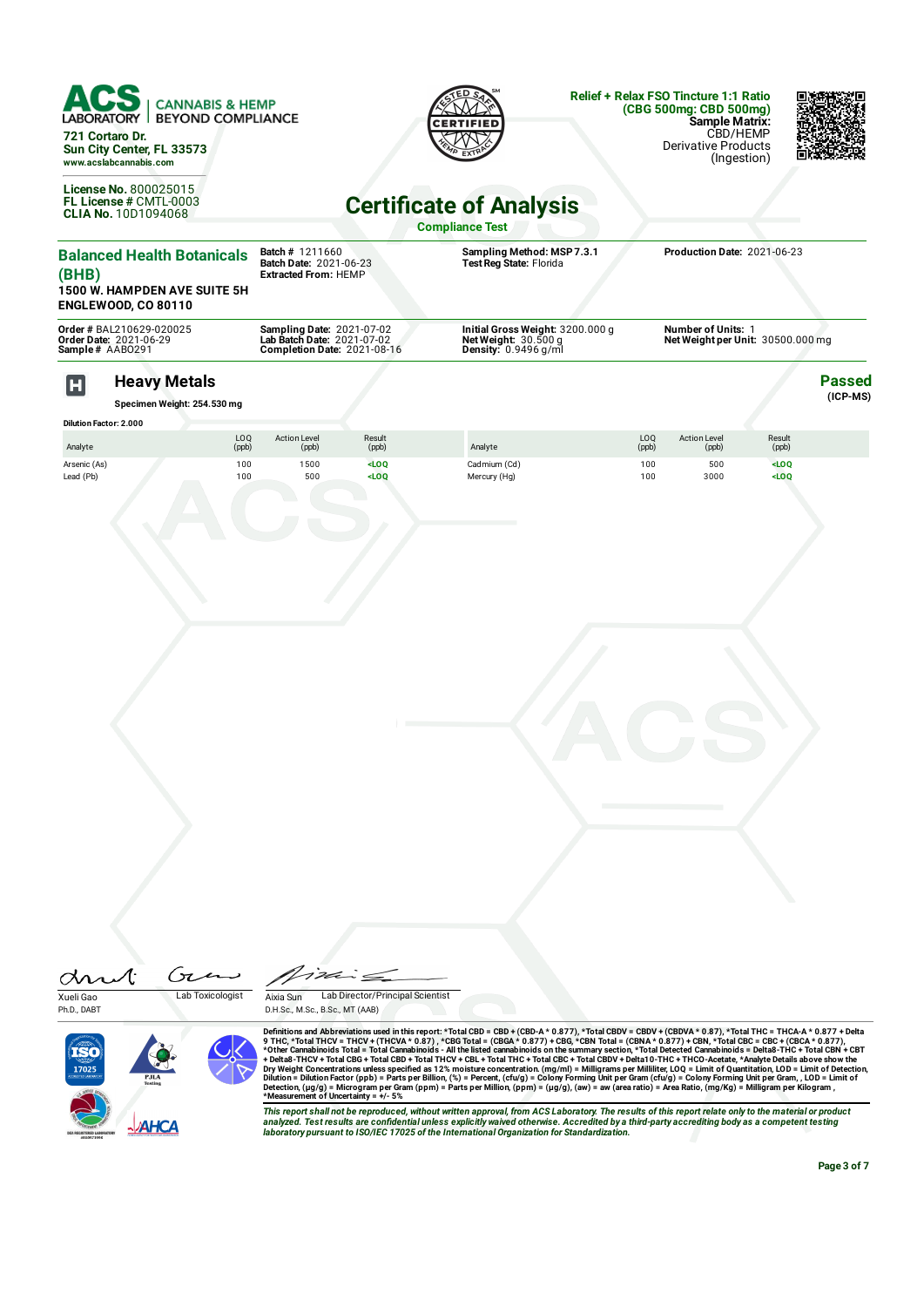|                                      | ACS.<br><b>LABORATORY</b><br>721 Cortaro Dr.<br>Sun City Center, FL 33573<br>www.acslabcannabis.com<br>License No. 800025015<br>FL License # CMTL-0003<br>CLIA No. 10D1094068 | <b>CANNABIS &amp; HEMP</b><br><b>BEYOND COMPLIANCE</b> |                                                                                               |                             | <b>Certificate of Analysis</b><br><b>Compliance Test</b>                           |                     | <b>Relief + Relax FSO Tincture 1:1 Ratio</b><br>(CBG 500mg: CBD 500mg)<br><b>Sample Matrix:</b><br><b>Derivative Products</b> | CBD/HEMP<br>(Ingestion)     |                             |
|--------------------------------------|-------------------------------------------------------------------------------------------------------------------------------------------------------------------------------|--------------------------------------------------------|-----------------------------------------------------------------------------------------------|-----------------------------|------------------------------------------------------------------------------------|---------------------|-------------------------------------------------------------------------------------------------------------------------------|-----------------------------|-----------------------------|
| (BHB)                                | <b>Balanced Health Botanicals</b><br><b>1500 W. HAMPDEN AVE SUITE 5H</b><br><b>ENGLEWOOD, CO 80110</b>                                                                        |                                                        | Batch # 1211660<br>Batch Date: 2021-06-23<br><b>Extracted From: HEMP</b>                      |                             | Sampling Method: MSP 7.3.1<br>Test Reg State: Florida                              |                     | Production Date: 2021-06-23                                                                                                   |                             |                             |
|                                      | Order # BAL210629-020025<br>Order Date: 2021-06-29<br>Sample# AAB0291                                                                                                         |                                                        | <b>Sampling Date: 2021-07-02</b><br>Lab Batch Date: 2021-07-02<br>Completion Date: 2021-08-16 |                             | Initial Gross Weight: 3200.000 g<br>Net Weight: $30.500 g$<br>Density: 0.9496 g/ml |                     | <b>Number of Units: 1</b><br>Net Weight per Unit: 30500.000 mg                                                                |                             |                             |
| $\mathbf H$                          | <b>Heavy Metals</b><br>Specimen Weight: 254.530 mg                                                                                                                            |                                                        |                                                                                               |                             |                                                                                    |                     |                                                                                                                               |                             | <b>Passed</b><br>$(ICP-MS)$ |
|                                      | <b>Dilution Factor: 2.000</b>                                                                                                                                                 | LOQ                                                    | <b>Action Level</b>                                                                           | Result                      |                                                                                    | LOQ                 | <b>Action Level</b>                                                                                                           | Result                      |                             |
| Analyte<br>Arsenic (As)<br>Lead (Pb) |                                                                                                                                                                               | (ppb)<br>100<br>100                                    | (ppb)<br>1500<br>500                                                                          | (ppb)<br>$<$ LOQ<br>$<$ LOO | Analyte<br>Cadmium (Cd)<br>Mercury (Hg)                                            | (ppb)<br>100<br>100 | (ppb)<br>500<br>3000                                                                                                          | (ppb)<br>$<$ LOQ<br>$<$ LOO |                             |

Gie drut Xueli Gao Lab Toxicologist

Ph.D., DABT

 $\leq$ Aixia Sun Lab Director/Principal Scientist D.H.Sc., M.Sc., B.Sc., MT (AAB)



Definitions and Abbreviations used in this report: \*Total CBD = CBD-A (CBD-A \* 0.877), \*Total CBDV + CBDVA \* 0.87), \*Total THC = THCA-A \* 0.877<br>9 THC, \*Total THCV = THCA-A \* 0.877, \*CBG Total = (CBGA \* 0.877),\*Total CGBDV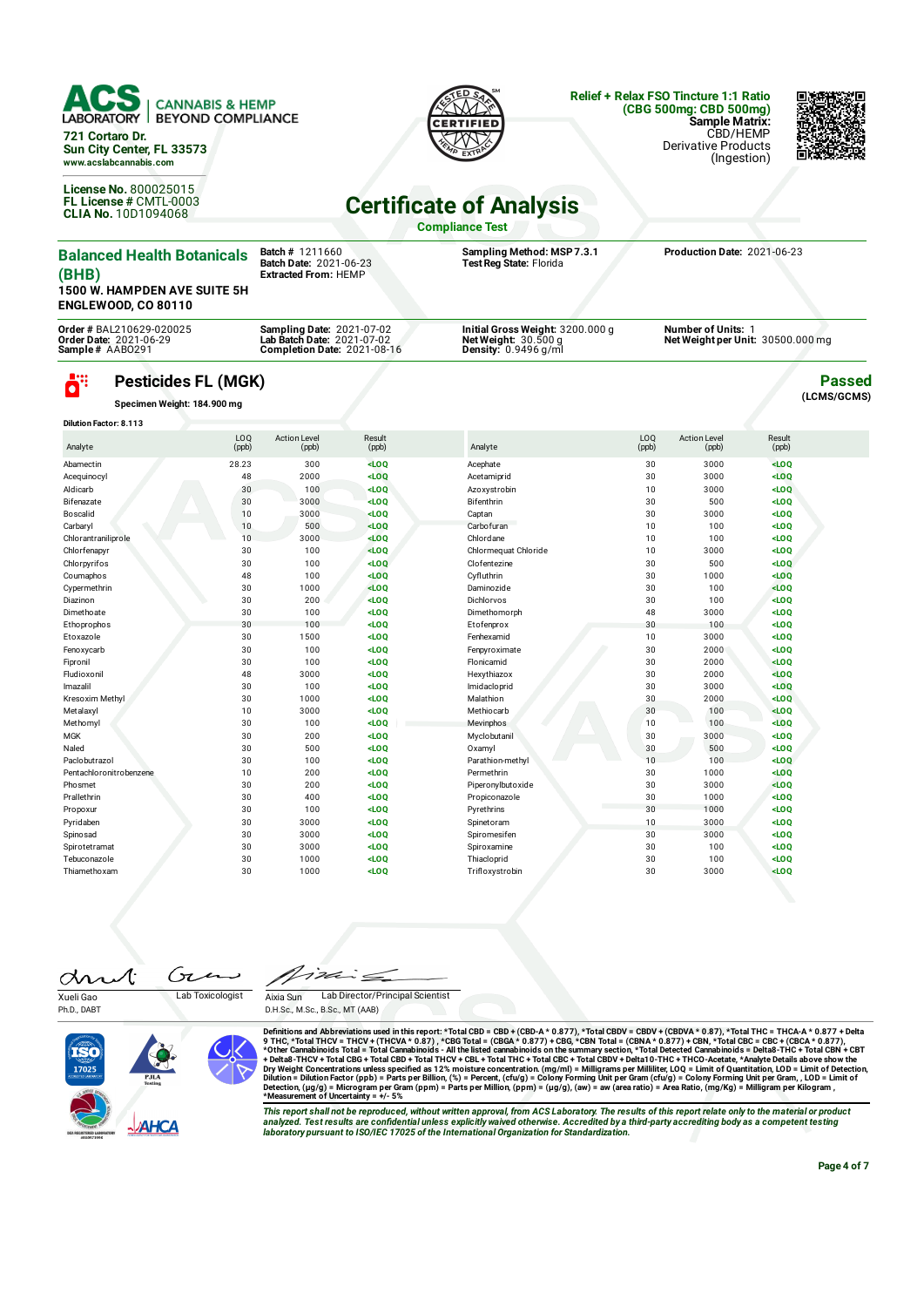

**721 Cortaro Dr. Sun City Center, FL 33573 www.acslabcannabis.com**

**License No.** 800025015 **FL License #** CMTL-0003 **CLIA No.** 10D1094068



### **Relief + Relax FSO Tincture 1:1 Ratio (CBG 500mg: CBD 500mg) Sample Matrix:** CBD/HEMP

Derivative Products (Ingestion)



**Passed (LCMS/GCMS)**

# **Certicate of Analysis**

**Compliance Test**

| <b>Balanced Health Botanicals</b><br>(BHB)<br><b>1500 W. HAMPDEN AVE SUITE 5H</b><br><b>ENGLEWOOD, CO 80110</b> | <b>Batch # 1211660</b><br><b>Batch Date: 2021-06-23</b><br><b>Extracted From: HEMP</b>               | Sampling Method: MSP 7.3.1<br>Test Reg State: Florida                                       | Production Date: 2021-06-23                                  |
|-----------------------------------------------------------------------------------------------------------------|------------------------------------------------------------------------------------------------------|---------------------------------------------------------------------------------------------|--------------------------------------------------------------|
| Order # BAL210629-020025<br><b>Order Date: 2021-06-29</b><br>Sample# AAB0291                                    | <b>Sampling Date: 2021-07-02</b><br>Lab Batch Date: 2021-07-02<br><b>Completion Date: 2021-08-16</b> | Initial Gross Weight: 3200.000 g<br>Net Weight: $30.500$ g<br><b>Density:</b> $0.9496$ g/ml | <b>Number of Units:</b><br>Net Weight per Unit: 30500.000 mg |

## **Pesticides FL (MGK)**

**Specimen Weight: 184.900 mg**

ö"

| <b>Dilution Factor: 8.113</b> |              |                              |                 |                      |              |                              |                 |  |
|-------------------------------|--------------|------------------------------|-----------------|----------------------|--------------|------------------------------|-----------------|--|
| Analyte                       | LOQ<br>(ppb) | <b>Action Level</b><br>(ppb) | Result<br>(ppb) | Analyte              | LOQ<br>(ppb) | <b>Action Level</b><br>(ppb) | Result<br>(ppb) |  |
| Abamectin                     | 28.23        | 300                          | LOO             | Acephate             | 30           | 3000                         | $<$ LOQ         |  |
| Acequinocyl                   | 48           | 2000                         | LOO             | Acetamiprid          | 30           | 3000                         | $<$ LOQ         |  |
| Aldicarb                      | 30           | 100                          | $<$ LOQ         | Azoxystrobin         | 10           | 3000                         | $<$ LOQ         |  |
| Bifenazate                    | 30           | 3000                         | LOO             | Bifenthrin           | 30           | 500                          | $<$ LOQ         |  |
| Boscalid                      | 10           | 3000                         | $<$ LOQ         | Captan               | 30           | 3000                         | $<$ LOQ         |  |
| Carbaryl                      | 10           | 500                          | $<$ LOQ         | Carbofuran           | 10           | 100                          | $<$ LOQ         |  |
| Chlorantraniliprole           | 10           | 3000                         | $<$ LOQ         | Chlordane            | 10           | 100                          | $<$ LOQ         |  |
| Chlorfenapyr                  | 30           | 100                          | $<$ LOQ         | Chlormequat Chloride | 10           | 3000                         | $<$ LOQ         |  |
| Chlorpyrifos                  | 30           | 100                          | $<$ LOQ         | Clofentezine         | 30           | 500                          | $<$ LOQ         |  |
| Coumaphos                     | 48           | 100                          | LOO             | Cyfluthrin           | 30           | 1000                         | $<$ LOQ         |  |
| Cypermethrin                  | 30           | 1000                         | LOO             | Daminozide           | 30           | 100                          | LOO             |  |
| Diazinon                      | 30           | 200                          | LOO             | Dichlorvos           | 30           | 100                          | LOO             |  |
| Dimethoate                    | 30           | 100                          | $<$ LOQ         | Dimethomorph         | 48           | 3000                         | $<$ LOQ         |  |
| Ethoprophos                   | 30           | 100                          | $<$ LOQ         | Etofenprox           | 30           | 100                          | $<$ LOQ         |  |
| Etoxazole                     | 30           | 1500                         | $<$ LOQ         | Fenhexamid           | 10           | 3000                         | $<$ LOQ         |  |
| Fenoxycarb                    | 30           | 100                          | $<$ LOQ         | Fenpyroximate        | 30           | 2000                         | $<$ LOQ         |  |
| Fipronil                      | 30           | 100                          | $<$ LOQ         | Flonicamid           | 30           | 2000                         | $<$ LOQ         |  |
| Fludioxonil                   | 48           | 3000                         | $<$ LOQ         | Hexythiazox          | 30           | 2000                         | LOO             |  |
| Imazalil                      | 30           | 100                          | $<$ LOQ         | Imidacloprid         | 30           | 3000                         | $<$ LOQ         |  |
| Kresoxim Methyl               | 30           | 1000                         | $<$ LOQ         | Malathion            | 30           | 2000                         | $<$ LOQ         |  |
| Metalaxyl                     | 10           | 3000                         | $<$ LOQ         | Methiocarb           | 30           | 100                          | $<$ LOQ         |  |
| Methomyl                      | 30           | 100                          | $<$ LOQ         | Mevinphos            | 10           | 100                          | LOO             |  |
| <b>MGK</b>                    | 30           | 200                          | $<$ LOQ         | Myclobutanil         | 30           | 3000                         | $<$ LOQ         |  |
| Naled                         | 30           | 500                          | $<$ LOQ         | Oxamyl               | 30           | 500                          | $<$ LOQ         |  |
| Paclobutrazol                 | 30           | 100                          | $<$ LOQ         | Parathion-methyl     | 10           | 100                          | $<$ LOQ         |  |
| Pentachloronitrobenzene       | 10           | 200                          | $<$ LOQ         | Permethrin           | 30           | 1000                         | $<$ LOQ         |  |
| Phosmet                       | 30           | 200                          | $<$ LOQ         | Piperonylbutoxide    | 30           | 3000                         | $<$ LOQ         |  |
| Prallethrin                   | 30           | 400                          | $<$ LOQ         | Propiconazole        | 30           | 1000                         | $<$ LOQ         |  |
| Propoxur                      | 30           | 100                          | $<$ LOQ         | Pyrethrins           | 30           | 1000                         | $<$ LOQ         |  |
| Pyridaben                     | 30           | 3000                         | $<$ LOQ         | Spinetoram           | 10           | 3000                         | $<$ LOQ         |  |
| Spinosad                      | 30           | 3000                         | $<$ LOQ         | Spiromesifen         | 30           | 3000                         | $<$ LOQ         |  |
| Spirotetramat                 | 30           | 3000                         | $<$ LOQ         | Spiroxamine          | 30           | 100                          | $<$ LOQ         |  |
| Tebuconazole                  | 30           | 1000                         | $<$ LOQ         | Thiacloprid          | 30           | 100                          | $<$ LOQ         |  |
| Thiamethoxam                  | 30           | 1000                         | $<$ LOQ         | Trifloxystrobin      | 30           | 3000                         | LOO             |  |

Gτ drut Xueli Gao Lab Toxicologist

Ph.D., DABT

Aixia Sun Lab Director/Principal Scientist

D.H.Sc., M.Sc., B.Sc., MT (AAB)



Definitions and Abbreviations used in this report: \*Total CBD = CBD-A (CBD-A \* 0.877), \*Total CBDV + CBDVA \* 0.87), \*Total THC = THCA-A \* 0.877<br>9 THC, \*Total THCV = THCA-A \* 0.877, \*CBG Total = (CBGA \* 0.877),\*Total CGBDV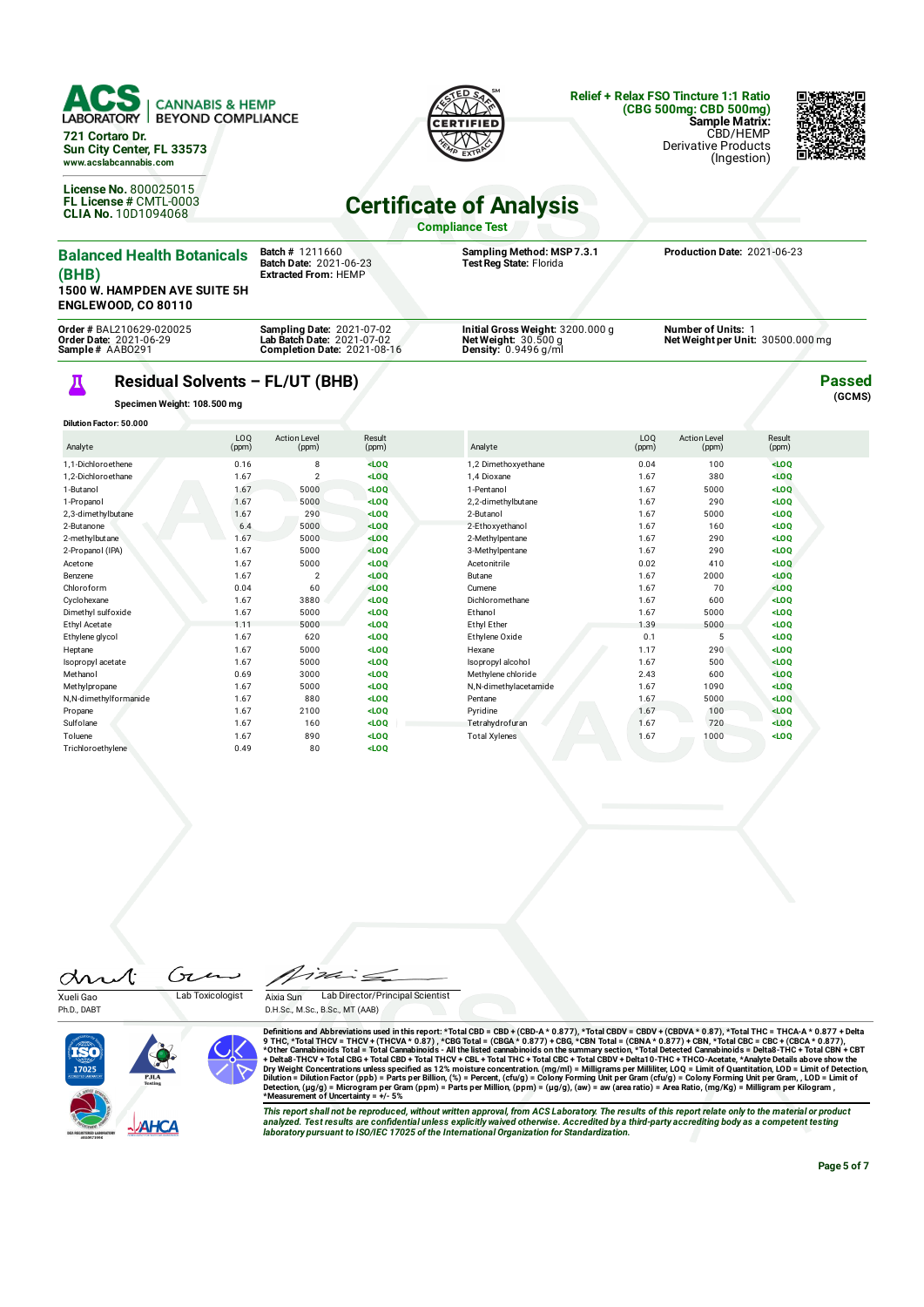

**ENGLEWOOD, CO 80110 Order #** BAL210629-020025 **Order Date:** 2021-06-29 **Sample #** AABO291 **Sampling Date:** 2021-07-02 **Lab Batch Date:** 2021-07-02 **Completion Date:** 2021-08-16 **Initial Gross Weight:** 3200.000 g **Net Weight:** 30.500 g **Density:** 0.9496 g/ml **Number of Units:** 1 **Net Weight per Unit:** 30500.000 mg Д **Passed**

## **Residual Solvents – FL/UT (BHB)**

**Specimen Weight: 108.500 mg**

| Dilution Factor: 50.000 |              |                              |                 |                       |                          |                              |                 |  |
|-------------------------|--------------|------------------------------|-----------------|-----------------------|--------------------------|------------------------------|-----------------|--|
| Analyte                 | LOO<br>(ppm) | <b>Action Level</b><br>(ppm) | Result<br>(ppm) | Analyte               | LO <sub>0</sub><br>(ppm) | <b>Action Level</b><br>(ppm) | Result<br>(ppm) |  |
| 1.1-Dichloroethene      | 0.16         | 8                            | $<$ LOO         | 1,2 Dimethoxyethane   | 0.04                     | 100                          | $<$ LOO         |  |
| 1.2-Dichloroethane      | 1.67         | $\overline{c}$               | $<$ LOO         | 1.4 Dioxane           | 1.67                     | 380                          | $<$ LOO         |  |
| 1-Butanol               | 1.67         | 5000                         | $<$ LOQ         | 1-Pentanol            | 1.67                     | 5000                         | $<$ LOQ         |  |
| 1-Propanol              | 1.67         | 5000                         | LOO             | 2,2-dimethylbutane    | 1.67                     | 290                          | $<$ LOO         |  |
| 2,3-dimethylbutane      | 1.67         | 290                          | $<$ LOQ         | 2-Butanol             | 1.67                     | 5000                         | $<$ LOQ         |  |
| 2-Butanone              | 6.4          | 5000                         | $<$ LOQ         | 2-Ethoxyethanol       | 1.67                     | 160                          | $<$ LOQ         |  |
| 2-methylbutane          | 1.67         | 5000                         | $<$ LOQ         | 2-Methylpentane       | 1.67                     | 290                          | $<$ LOQ         |  |
| 2-Propanol (IPA)        | 1.67         | 5000                         | $<$ LOQ         | 3-Methylpentane       | 1.67                     | 290                          | $<$ LOO         |  |
| Acetone                 | 1.67         | 5000                         | $<$ LOQ         | Acetonitrile          | 0.02                     | 410                          | LOO             |  |
| Benzene                 | 1.67         | $\overline{2}$               | $<$ LOQ         | Butane                | 1.67                     | 2000                         | $<$ LOO         |  |
| Chloroform              | 0.04         | 60                           | $<$ LOQ         | Cumene                | 1.67                     | 70                           | LOO             |  |
| Cyclohexane             | 1.67         | 3880                         | $<$ LOQ         | Dichloromethane       | 1.67                     | 600                          | $<$ LOO         |  |
| Dimethyl sulfoxide      | 1.67         | 5000                         | $<$ LOQ         | Ethanol               | 1.67                     | 5000                         | $<$ LOQ         |  |
| Ethyl Acetate           | 1.11         | 5000                         | $<$ LOQ         | Ethyl Ether           | 1.39                     | 5000                         | $<$ LOO         |  |
| Ethylene glycol         | 1.67         | 620                          | $<$ LOQ         | Ethylene Oxide        | 0.1                      | 5                            | $<$ LOQ         |  |
| Heptane                 | 1.67         | 5000                         | $<$ LOQ         | Hexane                | 1.17                     | 290                          | $<$ LOO         |  |
| Isopropyl acetate       | 1.67         | 5000                         | $<$ LOO         | Isopropyl alcohol     | 1.67                     | 500                          | $<$ LOO         |  |
| Methanol                | 0.69         | 3000                         | $<$ LOQ         | Methylene chloride    | 2.43                     | 600                          | $<$ LOO         |  |
| Methylpropane           | 1.67         | 5000                         | $<$ LOQ         | N,N-dimethylacetamide | 1.67                     | 1090                         | $<$ LOO         |  |
| N,N-dimethylformanide   | 1.67         | 880                          | $<$ LOQ         | Pentane               | 1.67                     | 5000                         | $<$ LOQ         |  |
| Propane                 | 1.67         | 2100                         | $<$ LOO         | Pyridine              | 1.67                     | 100                          | $<$ LOQ         |  |
| Sulfolane               | 1.67         | 160                          | $<$ LOQ         | Tetrahydrofuran       | 1.67                     | 720                          | $<$ LOQ         |  |
| Toluene                 | 1.67         | 890                          | $<$ LOQ         | <b>Total Xylenes</b>  | 1.67                     | 1000                         | $<$ LOQ         |  |
| Trichloroethvlene       | 0.49         | 80                           | $<$ LOO         |                       |                          |                              |                 |  |

Gr drut

Ph.D., DABT

Xueli Gao Lab Toxicologist

Aixia Sun Lab Director/Principal Scientist D.H.Sc., M.Sc., B.Sc., MT (AAB)



Definitions and Abbreviations used in this report: \*Total CBD = CBD-A (CBD-A \* 0.877), \*Total CBDV + CBDVA \* 0.87), \*Total THC = THCA-A \* 0.877<br>9 THC, \*Total THCV = THCA-A \* 0.877, \*CBG Total = (CBGA \* 0.877),\*Total CGBDV

This report shall not be reproduced, without written approval, from ACS Laboratory. The results of this report relate only to the material or product<br>analyzed. Test results are confidential unless explicitly waived otherwi

**(GCMS)**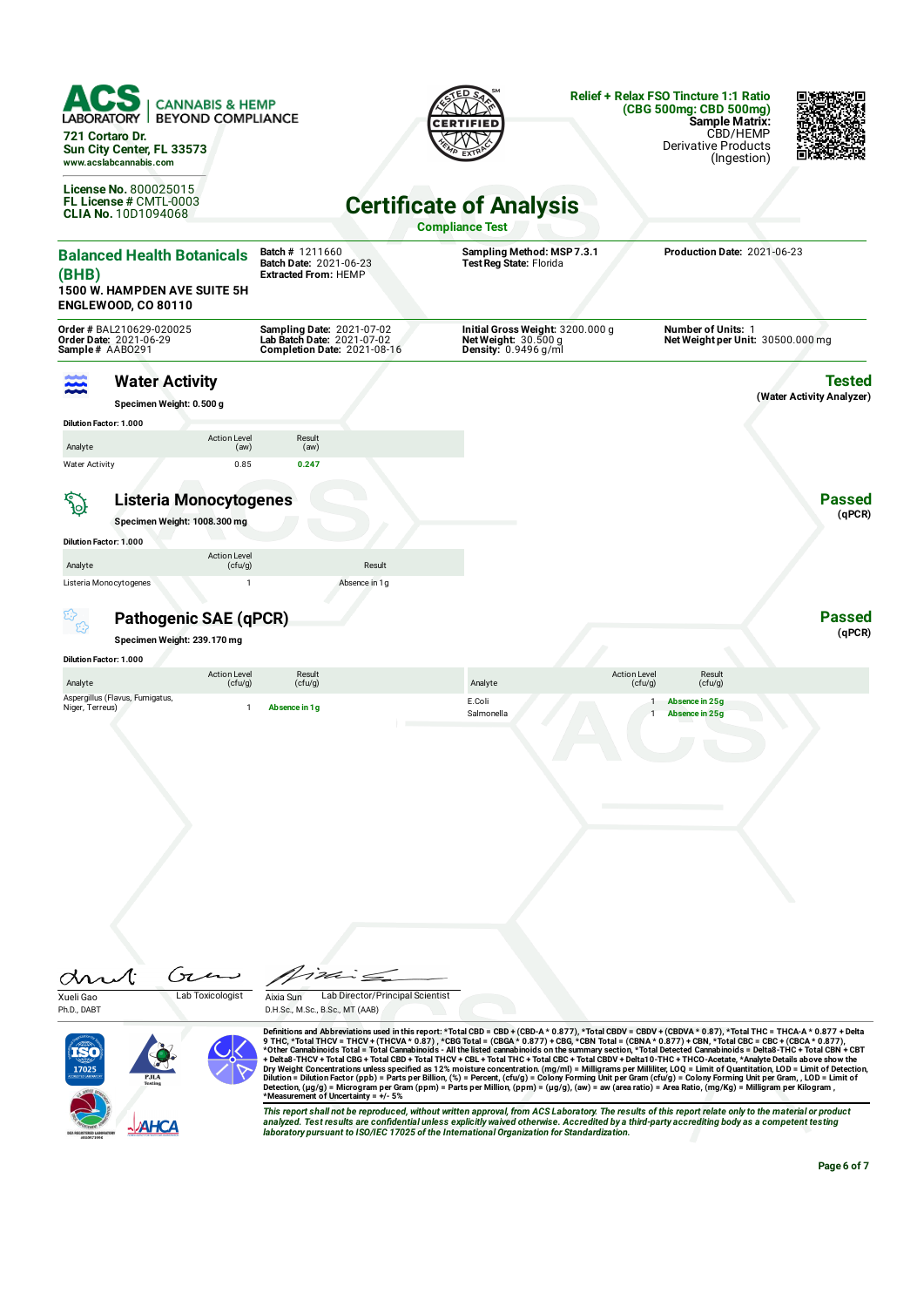| 721 Cortaro Dr.                                                   | <b>CANNABIS &amp; HEMP</b><br><b>BEYOND COMPLIANCE</b><br>Sun City Center, FL 33573<br>www.acslabcannabis.com |                                                                                                      |                                                                                           | <b>Relief + Relax FSO Tincture 1:1 Ratio</b><br>(CBG 500mg: CBD 500mg)<br><b>Sample Matrix:</b><br>CBD/HEMP<br>Derivative Products<br>(Ingestion) |
|-------------------------------------------------------------------|---------------------------------------------------------------------------------------------------------------|------------------------------------------------------------------------------------------------------|-------------------------------------------------------------------------------------------|---------------------------------------------------------------------------------------------------------------------------------------------------|
|                                                                   | <b>License No. 800025015</b><br>FL License # CMTL-0003<br><b>CLIA No. 10D1094068</b>                          |                                                                                                      | <b>Certificate of Analysis</b><br><b>Compliance Test</b>                                  |                                                                                                                                                   |
| (BHB)                                                             | <b>Balanced Health Botanicals</b><br><b>1500 W. HAMPDEN AVE SUITE 5H</b><br><b>ENGLEWOOD, CO 80110</b>        | <b>Batch # 1211660</b><br>Batch Date: 2021-06-23<br><b>Extracted From: HEMP</b>                      | Sampling Method: MSP 7.3.1<br>Test Reg State: Florida                                     | Production Date: 2021-06-23                                                                                                                       |
| Sample# AABO291                                                   | Order # BAL210629-020025<br>Order Date: 2021-06-29                                                            | <b>Sampling Date: 2021-07-02</b><br>Lab Batch Date: 2021-07-02<br><b>Completion Date: 2021-08-16</b> | Initial Gross Weight: 3200.000 g<br>Net Weight: $30.500 g$<br><b>Density: 0.9496 g/ml</b> | <b>Number of Units: 1</b><br>Net Weight per Unit: 30500.000 mg                                                                                    |
|                                                                   | <b>Water Activity</b><br>Specimen Weight: 0.500 g                                                             |                                                                                                      |                                                                                           | Tested<br>(Water Activity Analyzer)                                                                                                               |
| <b>Dilution Factor: 1.000</b><br>Analyte<br><b>Water Activity</b> | <b>Action Level</b><br>(aw)<br>0.85                                                                           | Result<br>(aw)<br>0.247                                                                              |                                                                                           |                                                                                                                                                   |
| <b>SO</b>                                                         | <b>Listeria Monocytogenes</b><br>Specimen Weight: 1008.300 mg                                                 |                                                                                                      |                                                                                           | <b>Passed</b><br>(qPCR)                                                                                                                           |
| <b>Dilution Factor: 1.000</b><br>Analyte                          | <b>Action Level</b><br>(cfu/g)                                                                                | Result                                                                                               |                                                                                           |                                                                                                                                                   |
| Listeria Monocytogenes                                            | $\mathbf{1}$<br>Pathogenic SAE (qPCR)                                                                         | Absence in 1g                                                                                        |                                                                                           | <b>Passed</b>                                                                                                                                     |
|                                                                   | Specimen Weight: 239.170 mg                                                                                   |                                                                                                      |                                                                                           | (qPCR)                                                                                                                                            |
| <b>Dilution Factor: 1.000</b>                                     | <b>Action Level</b>                                                                                           | Result                                                                                               |                                                                                           | <b>Action Level</b><br>Result                                                                                                                     |
| Analyte<br>Niger, Terreus)                                        | (cfu/g)<br>Aspergillus (Flavus, Fumigatus,<br>$\mathbf{1}$                                                    | (cfu/g)<br>Absence in 1g                                                                             | Analyte<br>E.Coli<br>Salmonella                                                           | (cfu/g)<br>(cfu/g)<br>Absence in 25g<br>1<br>Absence in 25g                                                                                       |
| Xueli Gao<br>Ph.D., DABT                                          | $\sqrt{\pi}$<br>Lab Toxicologist                                                                              | Lab Director/Principal Scientist<br>Aixia Sun<br>D.H.Sc., M.Sc., B.Sc., MT (AAB)                     |                                                                                           |                                                                                                                                                   |

+ Delta8-THCV + Total CBG + Total CBD + Total THCV + CBL + Total CHCN + Delta CBDV + Delta1 0-THC + THCO-Acetate, \*Analyte Details above show the<br>Dry Weight Concentrations unless specified as 12% moisture concentration. (m This report shall not be reproduced, without written approval, from ACS Laboratory. The results of this report relate only to the material or product<br>analyzed. Test results are confidential unless explicitly waived otherwi

PJIA<br>
NAHCA